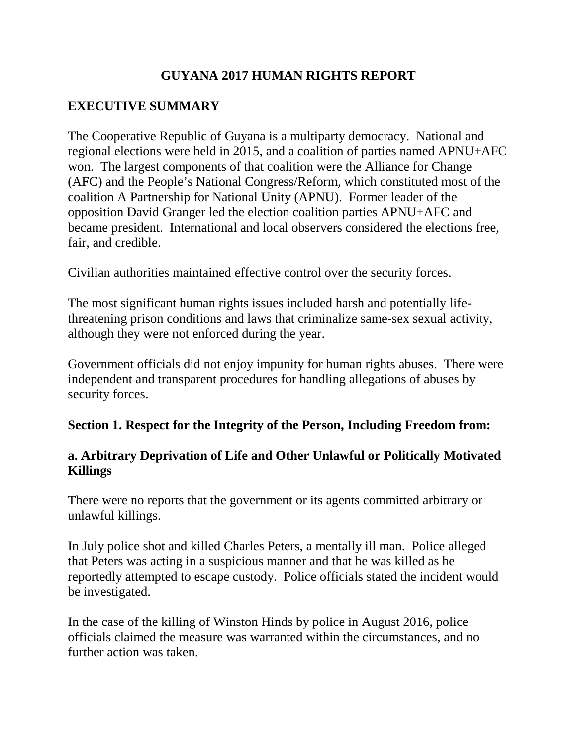# **GUYANA 2017 HUMAN RIGHTS REPORT**

# **EXECUTIVE SUMMARY**

The Cooperative Republic of Guyana is a multiparty democracy. National and regional elections were held in 2015, and a coalition of parties named APNU+AFC won. The largest components of that coalition were the Alliance for Change (AFC) and the People's National Congress/Reform, which constituted most of the coalition A Partnership for National Unity (APNU). Former leader of the opposition David Granger led the election coalition parties APNU+AFC and became president. International and local observers considered the elections free, fair, and credible.

Civilian authorities maintained effective control over the security forces.

The most significant human rights issues included harsh and potentially lifethreatening prison conditions and laws that criminalize same-sex sexual activity, although they were not enforced during the year.

Government officials did not enjoy impunity for human rights abuses. There were independent and transparent procedures for handling allegations of abuses by security forces.

### **Section 1. Respect for the Integrity of the Person, Including Freedom from:**

# **a. Arbitrary Deprivation of Life and Other Unlawful or Politically Motivated Killings**

There were no reports that the government or its agents committed arbitrary or unlawful killings.

In July police shot and killed Charles Peters, a mentally ill man. Police alleged that Peters was acting in a suspicious manner and that he was killed as he reportedly attempted to escape custody. Police officials stated the incident would be investigated.

In the case of the killing of Winston Hinds by police in August 2016, police officials claimed the measure was warranted within the circumstances, and no further action was taken.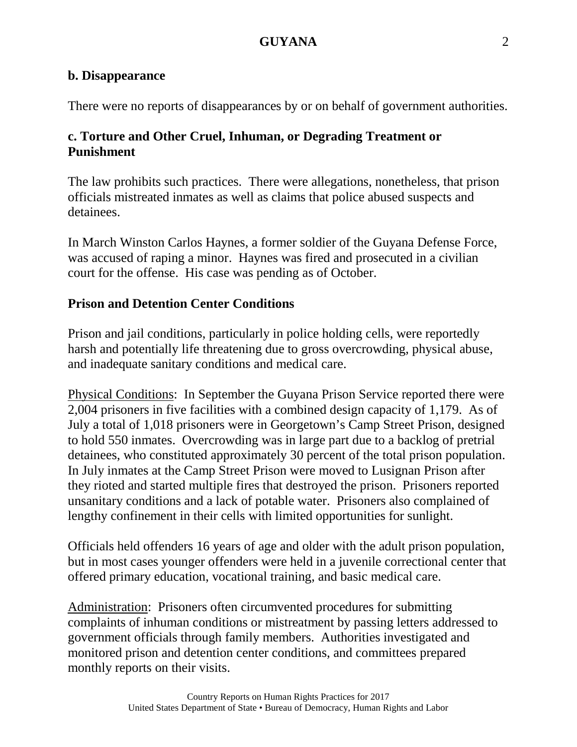#### **b. Disappearance**

There were no reports of disappearances by or on behalf of government authorities.

# **c. Torture and Other Cruel, Inhuman, or Degrading Treatment or Punishment**

The law prohibits such practices. There were allegations, nonetheless, that prison officials mistreated inmates as well as claims that police abused suspects and detainees.

In March Winston Carlos Haynes, a former soldier of the Guyana Defense Force, was accused of raping a minor. Haynes was fired and prosecuted in a civilian court for the offense. His case was pending as of October.

### **Prison and Detention Center Conditions**

Prison and jail conditions, particularly in police holding cells, were reportedly harsh and potentially life threatening due to gross overcrowding, physical abuse, and inadequate sanitary conditions and medical care.

Physical Conditions: In September the Guyana Prison Service reported there were 2,004 prisoners in five facilities with a combined design capacity of 1,179. As of July a total of 1,018 prisoners were in Georgetown's Camp Street Prison, designed to hold 550 inmates. Overcrowding was in large part due to a backlog of pretrial detainees, who constituted approximately 30 percent of the total prison population. In July inmates at the Camp Street Prison were moved to Lusignan Prison after they rioted and started multiple fires that destroyed the prison. Prisoners reported unsanitary conditions and a lack of potable water. Prisoners also complained of lengthy confinement in their cells with limited opportunities for sunlight.

Officials held offenders 16 years of age and older with the adult prison population, but in most cases younger offenders were held in a juvenile correctional center that offered primary education, vocational training, and basic medical care.

Administration: Prisoners often circumvented procedures for submitting complaints of inhuman conditions or mistreatment by passing letters addressed to government officials through family members. Authorities investigated and monitored prison and detention center conditions, and committees prepared monthly reports on their visits.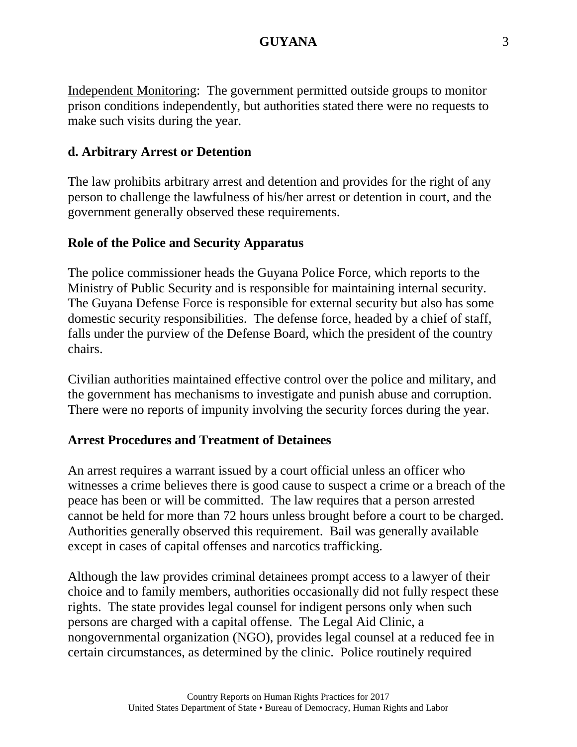Independent Monitoring: The government permitted outside groups to monitor prison conditions independently, but authorities stated there were no requests to make such visits during the year.

### **d. Arbitrary Arrest or Detention**

The law prohibits arbitrary arrest and detention and provides for the right of any person to challenge the lawfulness of his/her arrest or detention in court, and the government generally observed these requirements.

### **Role of the Police and Security Apparatus**

The police commissioner heads the Guyana Police Force, which reports to the Ministry of Public Security and is responsible for maintaining internal security. The Guyana Defense Force is responsible for external security but also has some domestic security responsibilities. The defense force, headed by a chief of staff, falls under the purview of the Defense Board, which the president of the country chairs.

Civilian authorities maintained effective control over the police and military, and the government has mechanisms to investigate and punish abuse and corruption. There were no reports of impunity involving the security forces during the year.

### **Arrest Procedures and Treatment of Detainees**

An arrest requires a warrant issued by a court official unless an officer who witnesses a crime believes there is good cause to suspect a crime or a breach of the peace has been or will be committed. The law requires that a person arrested cannot be held for more than 72 hours unless brought before a court to be charged. Authorities generally observed this requirement. Bail was generally available except in cases of capital offenses and narcotics trafficking.

Although the law provides criminal detainees prompt access to a lawyer of their choice and to family members, authorities occasionally did not fully respect these rights. The state provides legal counsel for indigent persons only when such persons are charged with a capital offense. The Legal Aid Clinic, a nongovernmental organization (NGO), provides legal counsel at a reduced fee in certain circumstances, as determined by the clinic. Police routinely required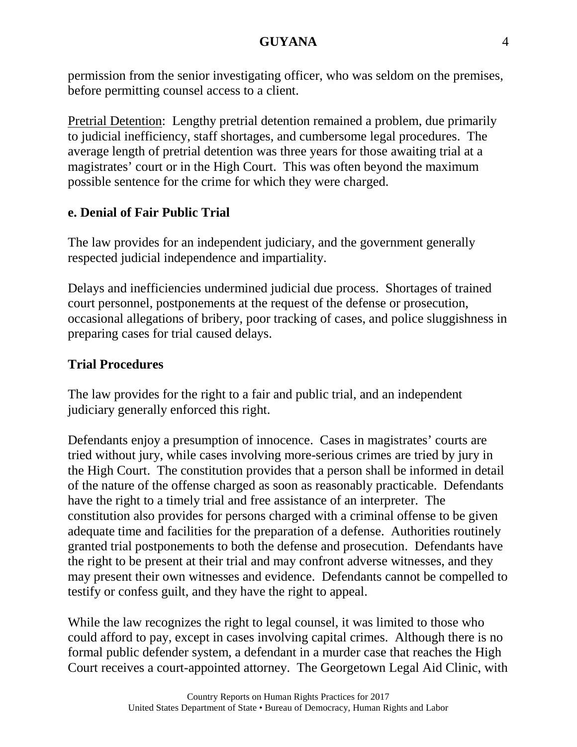permission from the senior investigating officer, who was seldom on the premises, before permitting counsel access to a client.

Pretrial Detention: Lengthy pretrial detention remained a problem, due primarily to judicial inefficiency, staff shortages, and cumbersome legal procedures. The average length of pretrial detention was three years for those awaiting trial at a magistrates' court or in the High Court. This was often beyond the maximum possible sentence for the crime for which they were charged.

## **e. Denial of Fair Public Trial**

The law provides for an independent judiciary, and the government generally respected judicial independence and impartiality.

Delays and inefficiencies undermined judicial due process. Shortages of trained court personnel, postponements at the request of the defense or prosecution, occasional allegations of bribery, poor tracking of cases, and police sluggishness in preparing cases for trial caused delays.

## **Trial Procedures**

The law provides for the right to a fair and public trial, and an independent judiciary generally enforced this right.

Defendants enjoy a presumption of innocence. Cases in magistrates' courts are tried without jury, while cases involving more-serious crimes are tried by jury in the High Court. The constitution provides that a person shall be informed in detail of the nature of the offense charged as soon as reasonably practicable. Defendants have the right to a timely trial and free assistance of an interpreter. The constitution also provides for persons charged with a criminal offense to be given adequate time and facilities for the preparation of a defense. Authorities routinely granted trial postponements to both the defense and prosecution. Defendants have the right to be present at their trial and may confront adverse witnesses, and they may present their own witnesses and evidence. Defendants cannot be compelled to testify or confess guilt, and they have the right to appeal.

While the law recognizes the right to legal counsel, it was limited to those who could afford to pay, except in cases involving capital crimes. Although there is no formal public defender system, a defendant in a murder case that reaches the High Court receives a court-appointed attorney. The Georgetown Legal Aid Clinic, with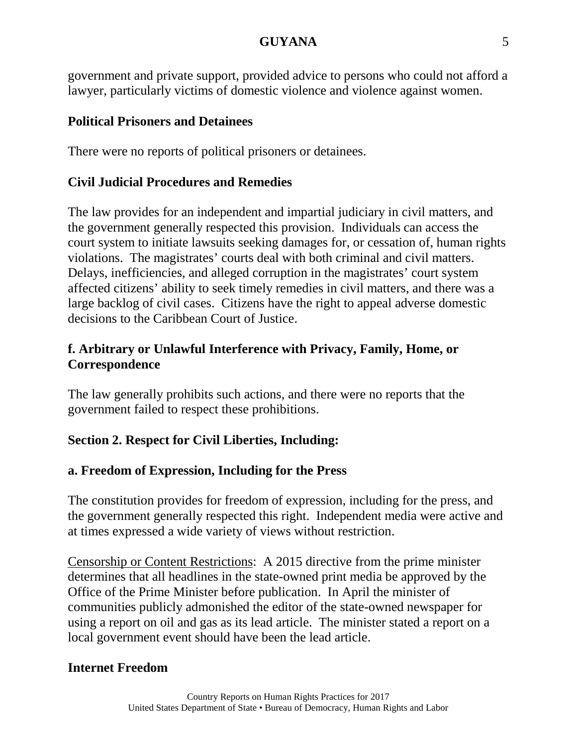government and private support, provided advice to persons who could not afford a lawyer, particularly victims of domestic violence and violence against women.

### **Political Prisoners and Detainees**

There were no reports of political prisoners or detainees.

# **Civil Judicial Procedures and Remedies**

The law provides for an independent and impartial judiciary in civil matters, and the government generally respected this provision. Individuals can access the court system to initiate lawsuits seeking damages for, or cessation of, human rights violations. The magistrates' courts deal with both criminal and civil matters. Delays, inefficiencies, and alleged corruption in the magistrates' court system affected citizens' ability to seek timely remedies in civil matters, and there was a large backlog of civil cases. Citizens have the right to appeal adverse domestic decisions to the Caribbean Court of Justice.

# **f. Arbitrary or Unlawful Interference with Privacy, Family, Home, or Correspondence**

The law generally prohibits such actions, and there were no reports that the government failed to respect these prohibitions.

# **Section 2. Respect for Civil Liberties, Including:**

# **a. Freedom of Expression, Including for the Press**

The constitution provides for freedom of expression, including for the press, and the government generally respected this right. Independent media were active and at times expressed a wide variety of views without restriction.

Censorship or Content Restrictions: A 2015 directive from the prime minister determines that all headlines in the state-owned print media be approved by the Office of the Prime Minister before publication. In April the minister of communities publicly admonished the editor of the state-owned newspaper for using a report on oil and gas as its lead article. The minister stated a report on a local government event should have been the lead article.

# **Internet Freedom**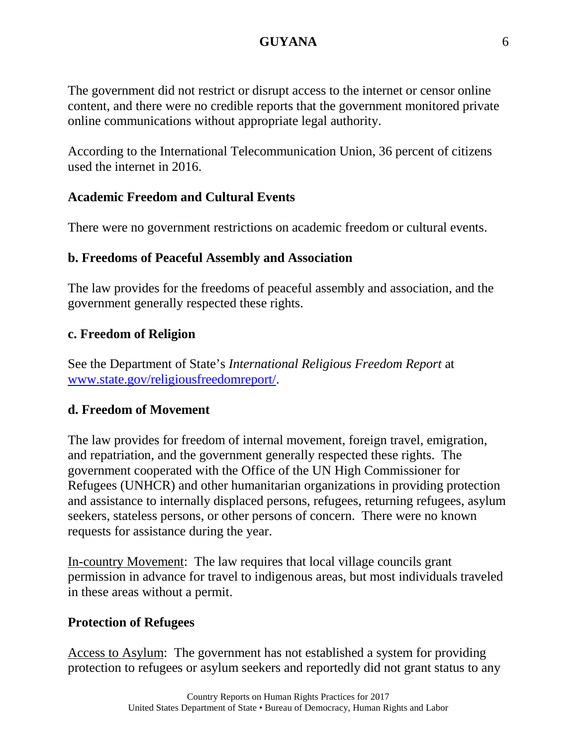The government did not restrict or disrupt access to the internet or censor online content, and there were no credible reports that the government monitored private online communications without appropriate legal authority.

According to the International Telecommunication Union, 36 percent of citizens used the internet in 2016.

## **Academic Freedom and Cultural Events**

There were no government restrictions on academic freedom or cultural events.

## **b. Freedoms of Peaceful Assembly and Association**

The law provides for the freedoms of peaceful assembly and association, and the government generally respected these rights.

## **c. Freedom of Religion**

See the Department of State's *International Religious Freedom Report* at [www.state.gov/religiousfreedomreport/.](http://www.state.gov/religiousfreedomreport/)

### **d. Freedom of Movement**

The law provides for freedom of internal movement, foreign travel, emigration, and repatriation, and the government generally respected these rights. The government cooperated with the Office of the UN High Commissioner for Refugees (UNHCR) and other humanitarian organizations in providing protection and assistance to internally displaced persons, refugees, returning refugees, asylum seekers, stateless persons, or other persons of concern. There were no known requests for assistance during the year.

In-country Movement: The law requires that local village councils grant permission in advance for travel to indigenous areas, but most individuals traveled in these areas without a permit.

### **Protection of Refugees**

Access to Asylum: The government has not established a system for providing protection to refugees or asylum seekers and reportedly did not grant status to any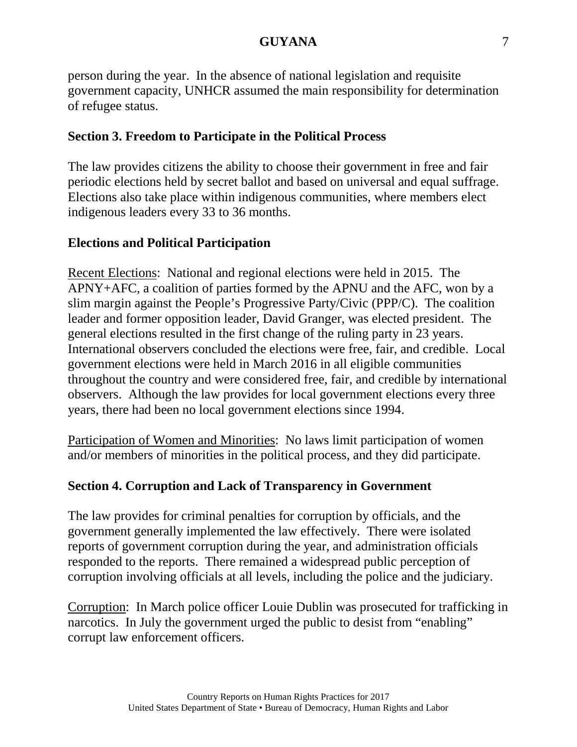person during the year. In the absence of national legislation and requisite government capacity, UNHCR assumed the main responsibility for determination of refugee status.

# **Section 3. Freedom to Participate in the Political Process**

The law provides citizens the ability to choose their government in free and fair periodic elections held by secret ballot and based on universal and equal suffrage. Elections also take place within indigenous communities, where members elect indigenous leaders every 33 to 36 months.

# **Elections and Political Participation**

Recent Elections: National and regional elections were held in 2015. The APNY+AFC, a coalition of parties formed by the APNU and the AFC, won by a slim margin against the People's Progressive Party/Civic (PPP/C). The coalition leader and former opposition leader, David Granger, was elected president. The general elections resulted in the first change of the ruling party in 23 years. International observers concluded the elections were free, fair, and credible. Local government elections were held in March 2016 in all eligible communities throughout the country and were considered free, fair, and credible by international observers. Although the law provides for local government elections every three years, there had been no local government elections since 1994.

Participation of Women and Minorities: No laws limit participation of women and/or members of minorities in the political process, and they did participate.

# **Section 4. Corruption and Lack of Transparency in Government**

The law provides for criminal penalties for corruption by officials, and the government generally implemented the law effectively. There were isolated reports of government corruption during the year, and administration officials responded to the reports. There remained a widespread public perception of corruption involving officials at all levels, including the police and the judiciary.

Corruption: In March police officer Louie Dublin was prosecuted for trafficking in narcotics. In July the government urged the public to desist from "enabling" corrupt law enforcement officers.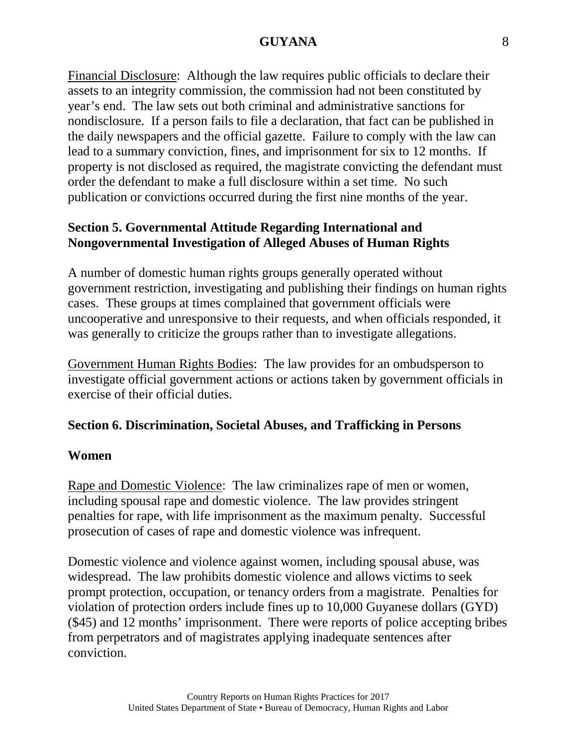Financial Disclosure: Although the law requires public officials to declare their assets to an integrity commission, the commission had not been constituted by year's end. The law sets out both criminal and administrative sanctions for nondisclosure. If a person fails to file a declaration, that fact can be published in the daily newspapers and the official gazette. Failure to comply with the law can lead to a summary conviction, fines, and imprisonment for six to 12 months. If property is not disclosed as required, the magistrate convicting the defendant must order the defendant to make a full disclosure within a set time. No such publication or convictions occurred during the first nine months of the year.

## **Section 5. Governmental Attitude Regarding International and Nongovernmental Investigation of Alleged Abuses of Human Rights**

A number of domestic human rights groups generally operated without government restriction, investigating and publishing their findings on human rights cases. These groups at times complained that government officials were uncooperative and unresponsive to their requests, and when officials responded, it was generally to criticize the groups rather than to investigate allegations.

Government Human Rights Bodies: The law provides for an ombudsperson to investigate official government actions or actions taken by government officials in exercise of their official duties.

### **Section 6. Discrimination, Societal Abuses, and Trafficking in Persons**

### **Women**

Rape and Domestic Violence: The law criminalizes rape of men or women, including spousal rape and domestic violence. The law provides stringent penalties for rape, with life imprisonment as the maximum penalty. Successful prosecution of cases of rape and domestic violence was infrequent.

Domestic violence and violence against women, including spousal abuse, was widespread. The law prohibits domestic violence and allows victims to seek prompt protection, occupation, or tenancy orders from a magistrate. Penalties for violation of protection orders include fines up to 10,000 Guyanese dollars (GYD) (\$45) and 12 months' imprisonment. There were reports of police accepting bribes from perpetrators and of magistrates applying inadequate sentences after conviction.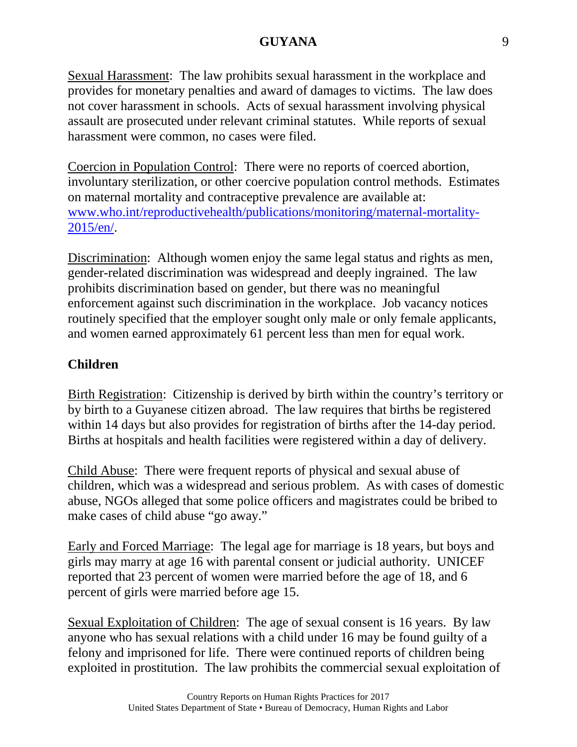Sexual Harassment: The law prohibits sexual harassment in the workplace and provides for monetary penalties and award of damages to victims. The law does not cover harassment in schools. Acts of sexual harassment involving physical assault are prosecuted under relevant criminal statutes. While reports of sexual harassment were common, no cases were filed.

Coercion in Population Control: There were no reports of coerced abortion, involuntary sterilization, or other coercive population control methods. Estimates on maternal mortality and contraceptive prevalence are available at: [www.who.int/reproductivehealth/publications/monitoring/maternal-mortality-](http://www.who.int/reproductivehealth/publications/monitoring/maternal-mortality-2015/en/)[2015/en/.](http://www.who.int/reproductivehealth/publications/monitoring/maternal-mortality-2015/en/)

Discrimination: Although women enjoy the same legal status and rights as men, gender-related discrimination was widespread and deeply ingrained. The law prohibits discrimination based on gender, but there was no meaningful enforcement against such discrimination in the workplace. Job vacancy notices routinely specified that the employer sought only male or only female applicants, and women earned approximately 61 percent less than men for equal work.

# **Children**

Birth Registration: Citizenship is derived by birth within the country's territory or by birth to a Guyanese citizen abroad. The law requires that births be registered within 14 days but also provides for registration of births after the 14-day period. Births at hospitals and health facilities were registered within a day of delivery.

Child Abuse: There were frequent reports of physical and sexual abuse of children, which was a widespread and serious problem. As with cases of domestic abuse, NGOs alleged that some police officers and magistrates could be bribed to make cases of child abuse "go away."

Early and Forced Marriage: The legal age for marriage is 18 years, but boys and girls may marry at age 16 with parental consent or judicial authority. UNICEF reported that 23 percent of women were married before the age of 18, and 6 percent of girls were married before age 15.

Sexual Exploitation of Children: The age of sexual consent is 16 years. By law anyone who has sexual relations with a child under 16 may be found guilty of a felony and imprisoned for life. There were continued reports of children being exploited in prostitution. The law prohibits the commercial sexual exploitation of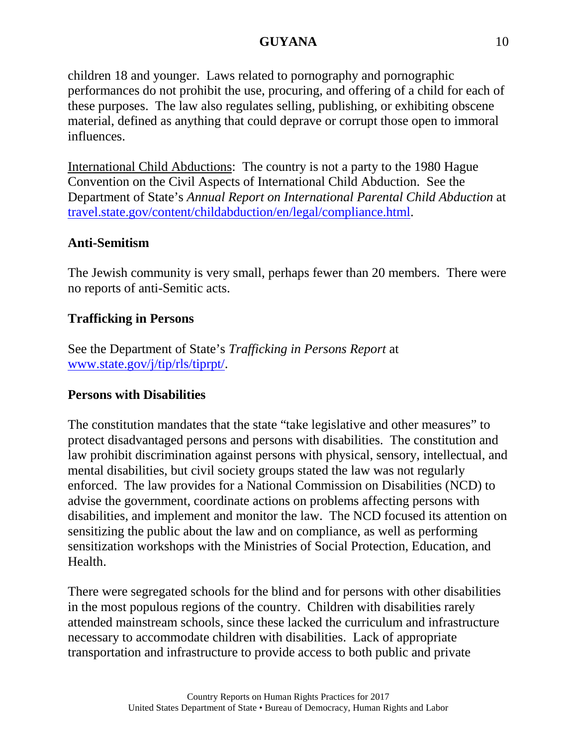children 18 and younger. Laws related to pornography and pornographic performances do not prohibit the use, procuring, and offering of a child for each of these purposes. The law also regulates selling, publishing, or exhibiting obscene material, defined as anything that could deprave or corrupt those open to immoral influences.

International Child Abductions: The country is not a party to the 1980 Hague Convention on the Civil Aspects of International Child Abduction. See the Department of State's *Annual Report on International Parental Child Abduction* at [travel.state.gov/content/childabduction/en/legal/compliance.html.](http://travel.state.gov/content/childabduction/en/legal/compliance.html)

## **Anti-Semitism**

The Jewish community is very small, perhaps fewer than 20 members. There were no reports of anti-Semitic acts.

## **Trafficking in Persons**

See the Department of State's *Trafficking in Persons Report* at [www.state.gov/j/tip/rls/tiprpt/.](http://www.state.gov/j/tip/rls/tiprpt/)

### **Persons with Disabilities**

The constitution mandates that the state "take legislative and other measures" to protect disadvantaged persons and persons with disabilities. The constitution and law prohibit discrimination against persons with physical, sensory, intellectual, and mental disabilities, but civil society groups stated the law was not regularly enforced. The law provides for a National Commission on Disabilities (NCD) to advise the government, coordinate actions on problems affecting persons with disabilities, and implement and monitor the law. The NCD focused its attention on sensitizing the public about the law and on compliance, as well as performing sensitization workshops with the Ministries of Social Protection, Education, and Health.

There were segregated schools for the blind and for persons with other disabilities in the most populous regions of the country. Children with disabilities rarely attended mainstream schools, since these lacked the curriculum and infrastructure necessary to accommodate children with disabilities. Lack of appropriate transportation and infrastructure to provide access to both public and private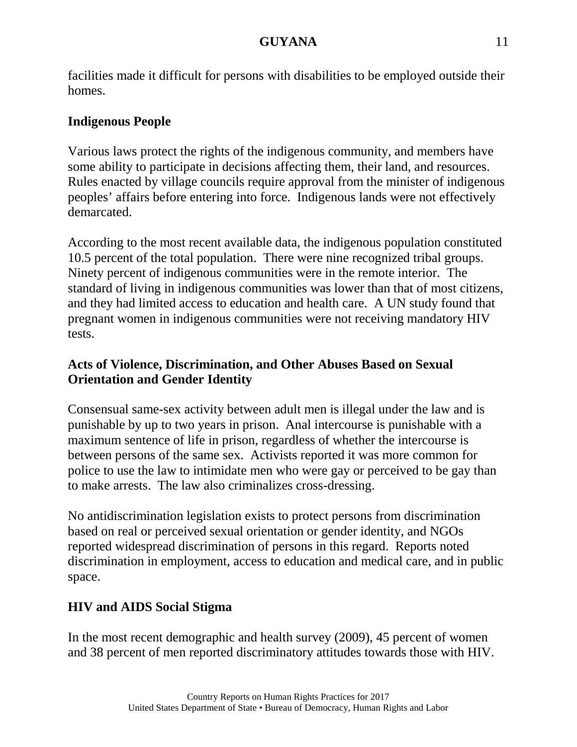facilities made it difficult for persons with disabilities to be employed outside their homes.

# **Indigenous People**

Various laws protect the rights of the indigenous community, and members have some ability to participate in decisions affecting them, their land, and resources. Rules enacted by village councils require approval from the minister of indigenous peoples' affairs before entering into force. Indigenous lands were not effectively demarcated.

According to the most recent available data, the indigenous population constituted 10.5 percent of the total population. There were nine recognized tribal groups. Ninety percent of indigenous communities were in the remote interior. The standard of living in indigenous communities was lower than that of most citizens, and they had limited access to education and health care. A UN study found that pregnant women in indigenous communities were not receiving mandatory HIV tests.

# **Acts of Violence, Discrimination, and Other Abuses Based on Sexual Orientation and Gender Identity**

Consensual same-sex activity between adult men is illegal under the law and is punishable by up to two years in prison. Anal intercourse is punishable with a maximum sentence of life in prison, regardless of whether the intercourse is between persons of the same sex. Activists reported it was more common for police to use the law to intimidate men who were gay or perceived to be gay than to make arrests. The law also criminalizes cross-dressing.

No antidiscrimination legislation exists to protect persons from discrimination based on real or perceived sexual orientation or gender identity, and NGOs reported widespread discrimination of persons in this regard. Reports noted discrimination in employment, access to education and medical care, and in public space.

# **HIV and AIDS Social Stigma**

In the most recent demographic and health survey (2009), 45 percent of women and 38 percent of men reported discriminatory attitudes towards those with HIV.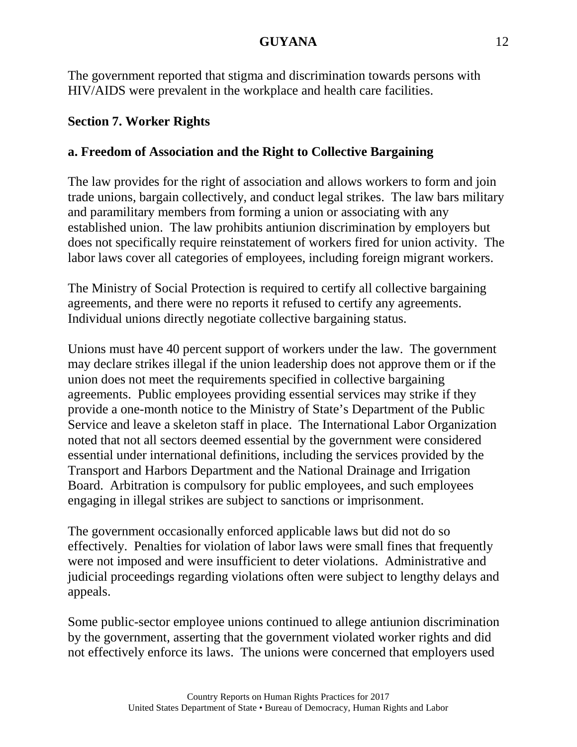The government reported that stigma and discrimination towards persons with HIV/AIDS were prevalent in the workplace and health care facilities.

# **Section 7. Worker Rights**

# **a. Freedom of Association and the Right to Collective Bargaining**

The law provides for the right of association and allows workers to form and join trade unions, bargain collectively, and conduct legal strikes. The law bars military and paramilitary members from forming a union or associating with any established union. The law prohibits antiunion discrimination by employers but does not specifically require reinstatement of workers fired for union activity. The labor laws cover all categories of employees, including foreign migrant workers.

The Ministry of Social Protection is required to certify all collective bargaining agreements, and there were no reports it refused to certify any agreements. Individual unions directly negotiate collective bargaining status.

Unions must have 40 percent support of workers under the law. The government may declare strikes illegal if the union leadership does not approve them or if the union does not meet the requirements specified in collective bargaining agreements. Public employees providing essential services may strike if they provide a one-month notice to the Ministry of State's Department of the Public Service and leave a skeleton staff in place. The International Labor Organization noted that not all sectors deemed essential by the government were considered essential under international definitions, including the services provided by the Transport and Harbors Department and the National Drainage and Irrigation Board. Arbitration is compulsory for public employees, and such employees engaging in illegal strikes are subject to sanctions or imprisonment.

The government occasionally enforced applicable laws but did not do so effectively. Penalties for violation of labor laws were small fines that frequently were not imposed and were insufficient to deter violations. Administrative and judicial proceedings regarding violations often were subject to lengthy delays and appeals.

Some public-sector employee unions continued to allege antiunion discrimination by the government, asserting that the government violated worker rights and did not effectively enforce its laws. The unions were concerned that employers used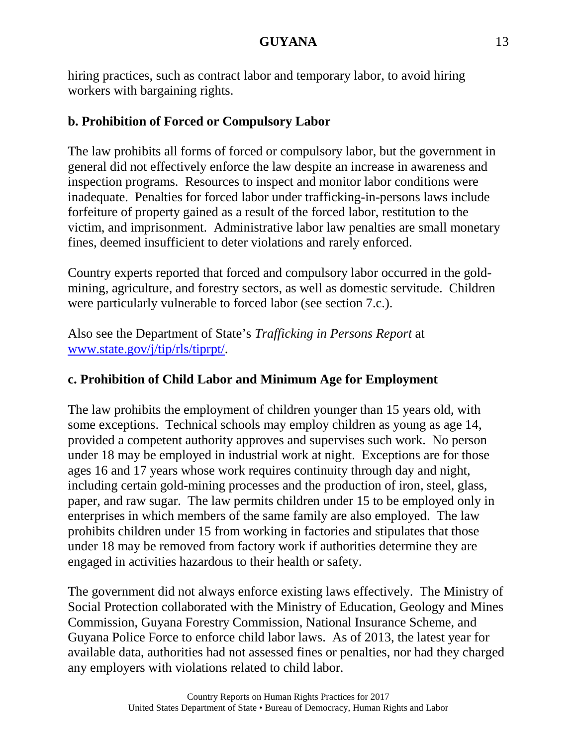hiring practices, such as contract labor and temporary labor, to avoid hiring workers with bargaining rights.

# **b. Prohibition of Forced or Compulsory Labor**

The law prohibits all forms of forced or compulsory labor, but the government in general did not effectively enforce the law despite an increase in awareness and inspection programs. Resources to inspect and monitor labor conditions were inadequate. Penalties for forced labor under trafficking-in-persons laws include forfeiture of property gained as a result of the forced labor, restitution to the victim, and imprisonment. Administrative labor law penalties are small monetary fines, deemed insufficient to deter violations and rarely enforced.

Country experts reported that forced and compulsory labor occurred in the goldmining, agriculture, and forestry sectors, as well as domestic servitude. Children were particularly vulnerable to forced labor (see section 7.c.).

Also see the Department of State's *Trafficking in Persons Report* at [www.state.gov/j/tip/rls/tiprpt/.](http://www.state.gov/j/tip/rls/tiprpt)

# **c. Prohibition of Child Labor and Minimum Age for Employment**

The law prohibits the employment of children younger than 15 years old, with some exceptions. Technical schools may employ children as young as age 14, provided a competent authority approves and supervises such work. No person under 18 may be employed in industrial work at night. Exceptions are for those ages 16 and 17 years whose work requires continuity through day and night, including certain gold-mining processes and the production of iron, steel, glass, paper, and raw sugar. The law permits children under 15 to be employed only in enterprises in which members of the same family are also employed. The law prohibits children under 15 from working in factories and stipulates that those under 18 may be removed from factory work if authorities determine they are engaged in activities hazardous to their health or safety.

The government did not always enforce existing laws effectively. The Ministry of Social Protection collaborated with the Ministry of Education, Geology and Mines Commission, Guyana Forestry Commission, National Insurance Scheme, and Guyana Police Force to enforce child labor laws. As of 2013, the latest year for available data, authorities had not assessed fines or penalties, nor had they charged any employers with violations related to child labor.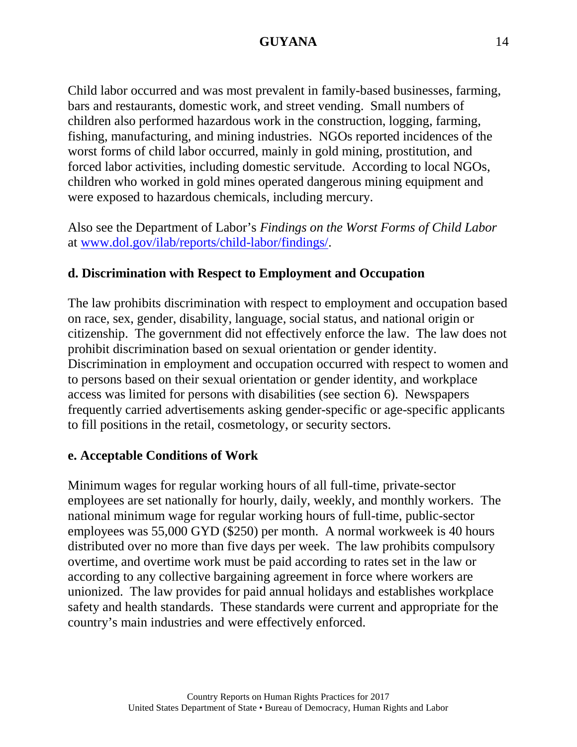Child labor occurred and was most prevalent in family-based businesses, farming, bars and restaurants, domestic work, and street vending. Small numbers of children also performed hazardous work in the construction, logging, farming, fishing, manufacturing, and mining industries. NGOs reported incidences of the worst forms of child labor occurred, mainly in gold mining, prostitution, and forced labor activities, including domestic servitude. According to local NGOs, children who worked in gold mines operated dangerous mining equipment and were exposed to hazardous chemicals, including mercury.

Also see the Department of Labor's *Findings on the Worst Forms of Child Labor* at [www.dol.gov/ilab/reports/child-labor/findings/.](http://www.dol.gov/ilab/reports/child-labor/findings/)

## **d. Discrimination with Respect to Employment and Occupation**

The law prohibits discrimination with respect to employment and occupation based on race, sex, gender, disability, language, social status, and national origin or citizenship. The government did not effectively enforce the law. The law does not prohibit discrimination based on sexual orientation or gender identity. Discrimination in employment and occupation occurred with respect to women and to persons based on their sexual orientation or gender identity, and workplace access was limited for persons with disabilities (see section 6). Newspapers frequently carried advertisements asking gender-specific or age-specific applicants to fill positions in the retail, cosmetology, or security sectors.

### **e. Acceptable Conditions of Work**

Minimum wages for regular working hours of all full-time, private-sector employees are set nationally for hourly, daily, weekly, and monthly workers. The national minimum wage for regular working hours of full-time, public-sector employees was 55,000 GYD (\$250) per month. A normal workweek is 40 hours distributed over no more than five days per week. The law prohibits compulsory overtime, and overtime work must be paid according to rates set in the law or according to any collective bargaining agreement in force where workers are unionized. The law provides for paid annual holidays and establishes workplace safety and health standards. These standards were current and appropriate for the country's main industries and were effectively enforced.